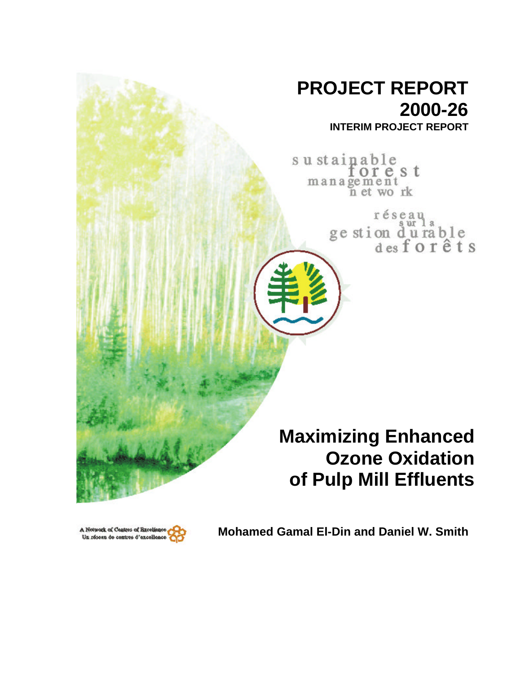# **PROJECT REPORT 2000-26**

**INTERIM PROJECT REPORT**

sustainable orest management<br>n et work

> réseau ge stion du rable<br>desforêts

# **Maximizing Enhanced Ozone Oxidation of Pulp Mill Effluents**



**Mohamed Gamal El-Din and Daniel W. Smith**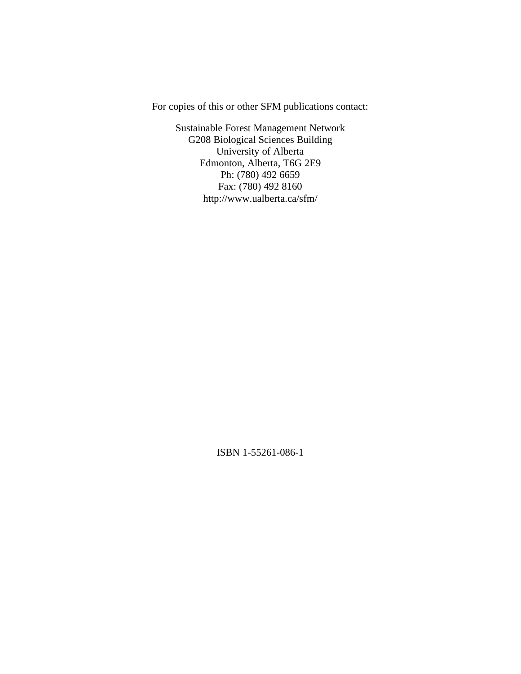For copies of this or other SFM publications contact:

Sustainable Forest Management Network G208 Biological Sciences Building University of Alberta Edmonton, Alberta, T6G 2E9 Ph: (780) 492 6659 Fax: (780) 492 8160 http://www.ualberta.ca/sfm/

ISBN 1-55261-086-1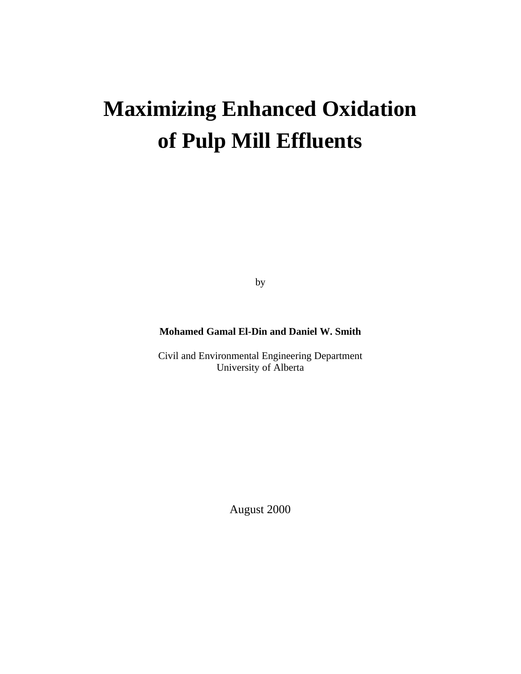# **Maximizing Enhanced Oxidation of Pulp Mill Effluents**

by

# **Mohamed Gamal El-Din and Daniel W. Smith**

Civil and Environmental Engineering Department University of Alberta

August 2000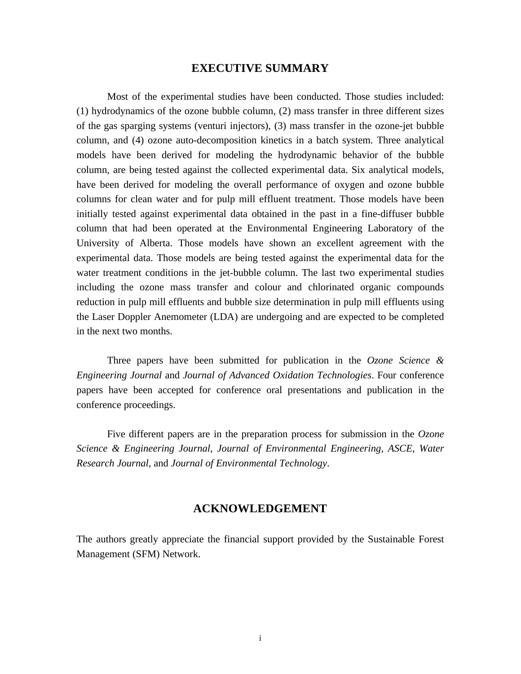## **EXECUTIVE SUMMARY**

Most of the experimental studies have been conducted. Those studies included: (1) hydrodynamics of the ozone bubble column, (2) mass transfer in three different sizes of the gas sparging systems (venturi injectors), (3) mass transfer in the ozone-jet bubble column, and (4) ozone auto-decomposition kinetics in a batch system. Three analytical models have been derived for modeling the hydrodynamic behavior of the bubble column, are being tested against the collected experimental data. Six analytical models, have been derived for modeling the overall performance of oxygen and ozone bubble columns for clean water and for pulp mill effluent treatment. Those models have been initially tested against experimental data obtained in the past in a fine-diffuser bubble column that had been operated at the Environmental Engineering Laboratory of the University of Alberta. Those models have shown an excellent agreement with the experimental data. Those models are being tested against the experimental data for the water treatment conditions in the jet-bubble column. The last two experimental studies including the ozone mass transfer and colour and chlorinated organic compounds reduction in pulp mill effluents and bubble size determination in pulp mill effluents using the Laser Doppler Anemometer (LDA) are undergoing and are expected to be completed in the next two months.

Three papers have been submitted for publication in the *Ozone Science & Engineering Journal* and *Journal of Advanced Oxidation Technologies*. Four conference papers have been accepted for conference oral presentations and publication in the conference proceedings.

Five different papers are in the preparation process for submission in the *Ozone Science & Engineering Journal*, *Journal of Environmental Engineering, ASCE*, *Water Research Journal*, and *Journal of Environmental Technology*.

## **ACKNOWLEDGEMENT**

The authors greatly appreciate the financial support provided by the Sustainable Forest Management (SFM) Network.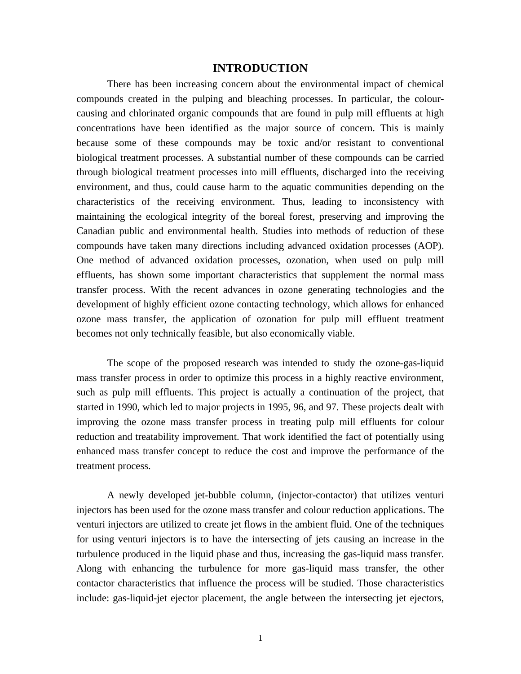## **INTRODUCTION**

There has been increasing concern about the environmental impact of chemical compounds created in the pulping and bleaching processes. In particular, the colourcausing and chlorinated organic compounds that are found in pulp mill effluents at high concentrations have been identified as the major source of concern. This is mainly because some of these compounds may be toxic and/or resistant to conventional biological treatment processes. A substantial number of these compounds can be carried through biological treatment processes into mill effluents, discharged into the receiving environment, and thus, could cause harm to the aquatic communities depending on the characteristics of the receiving environment. Thus, leading to inconsistency with maintaining the ecological integrity of the boreal forest, preserving and improving the Canadian public and environmental health. Studies into methods of reduction of these compounds have taken many directions including advanced oxidation processes (AOP). One method of advanced oxidation processes, ozonation, when used on pulp mill effluents, has shown some important characteristics that supplement the normal mass transfer process. With the recent advances in ozone generating technologies and the development of highly efficient ozone contacting technology, which allows for enhanced ozone mass transfer, the application of ozonation for pulp mill effluent treatment becomes not only technically feasible, but also economically viable.

The scope of the proposed research was intended to study the ozone-gas-liquid mass transfer process in order to optimize this process in a highly reactive environment, such as pulp mill effluents. This project is actually a continuation of the project, that started in 1990, which led to major projects in 1995, 96, and 97. These projects dealt with improving the ozone mass transfer process in treating pulp mill effluents for colour reduction and treatability improvement. That work identified the fact of potentially using enhanced mass transfer concept to reduce the cost and improve the performance of the treatment process.

A newly developed jet-bubble column, (injector-contactor) that utilizes venturi injectors has been used for the ozone mass transfer and colour reduction applications. The venturi injectors are utilized to create jet flows in the ambient fluid. One of the techniques for using venturi injectors is to have the intersecting of jets causing an increase in the turbulence produced in the liquid phase and thus, increasing the gas-liquid mass transfer. Along with enhancing the turbulence for more gas-liquid mass transfer, the other contactor characteristics that influence the process will be studied. Those characteristics include: gas-liquid-jet ejector placement, the angle between the intersecting jet ejectors,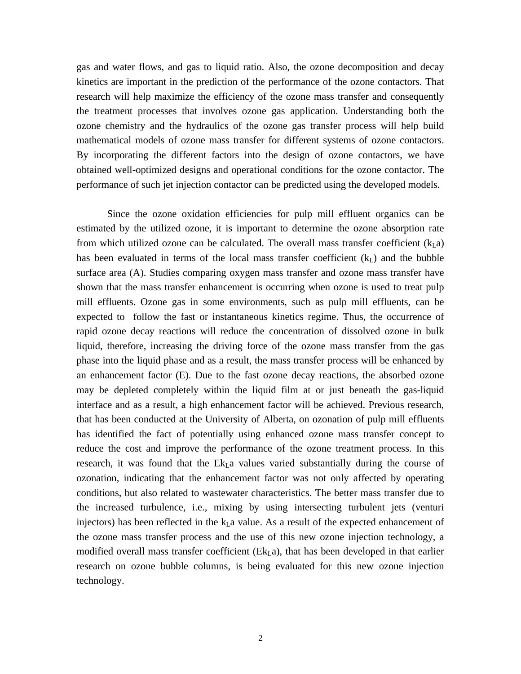gas and water flows, and gas to liquid ratio. Also, the ozone decomposition and decay kinetics are important in the prediction of the performance of the ozone contactors. That research will help maximize the efficiency of the ozone mass transfer and consequently the treatment processes that involves ozone gas application. Understanding both the ozone chemistry and the hydraulics of the ozone gas transfer process will help build mathematical models of ozone mass transfer for different systems of ozone contactors. By incorporating the different factors into the design of ozone contactors, we have obtained well-optimized designs and operational conditions for the ozone contactor. The performance of such jet injection contactor can be predicted using the developed models.

Since the ozone oxidation efficiencies for pulp mill effluent organics can be estimated by the utilized ozone, it is important to determine the ozone absorption rate from which utilized ozone can be calculated. The overall mass transfer coefficient  $(k<sub>L</sub>a)$ has been evaluated in terms of the local mass transfer coefficient  $(k<sub>L</sub>)$  and the bubble surface area (A). Studies comparing oxygen mass transfer and ozone mass transfer have shown that the mass transfer enhancement is occurring when ozone is used to treat pulp mill effluents. Ozone gas in some environments, such as pulp mill effluents, can be expected to follow the fast or instantaneous kinetics regime. Thus, the occurrence of rapid ozone decay reactions will reduce the concentration of dissolved ozone in bulk liquid, therefore, increasing the driving force of the ozone mass transfer from the gas phase into the liquid phase and as a result, the mass transfer process will be enhanced by an enhancement factor (E). Due to the fast ozone decay reactions, the absorbed ozone may be depleted completely within the liquid film at or just beneath the gas-liquid interface and as a result, a high enhancement factor will be achieved. Previous research, that has been conducted at the University of Alberta, on ozonation of pulp mill effluents has identified the fact of potentially using enhanced ozone mass transfer concept to reduce the cost and improve the performance of the ozone treatment process. In this research, it was found that the  $E_{kL}$ a values varied substantially during the course of ozonation, indicating that the enhancement factor was not only affected by operating conditions, but also related to wastewater characteristics. The better mass transfer due to the increased turbulence, i.e., mixing by using intersecting turbulent jets (venturi injectors) has been reflected in the  $k<sub>L</sub>a$  value. As a result of the expected enhancement of the ozone mass transfer process and the use of this new ozone injection technology, a modified overall mass transfer coefficient  $(Ek<sub>L</sub>,a)$ , that has been developed in that earlier research on ozone bubble columns, is being evaluated for this new ozone injection technology.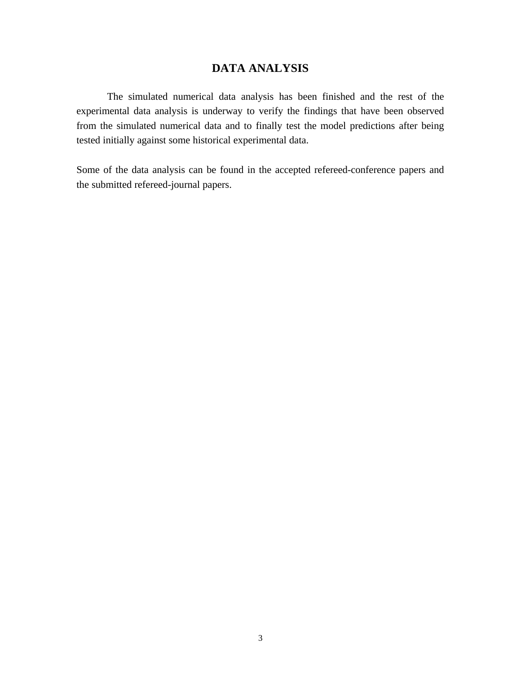# **DATA ANALYSIS**

The simulated numerical data analysis has been finished and the rest of the experimental data analysis is underway to verify the findings that have been observed from the simulated numerical data and to finally test the model predictions after being tested initially against some historical experimental data.

Some of the data analysis can be found in the accepted refereed-conference papers and the submitted refereed-journal papers.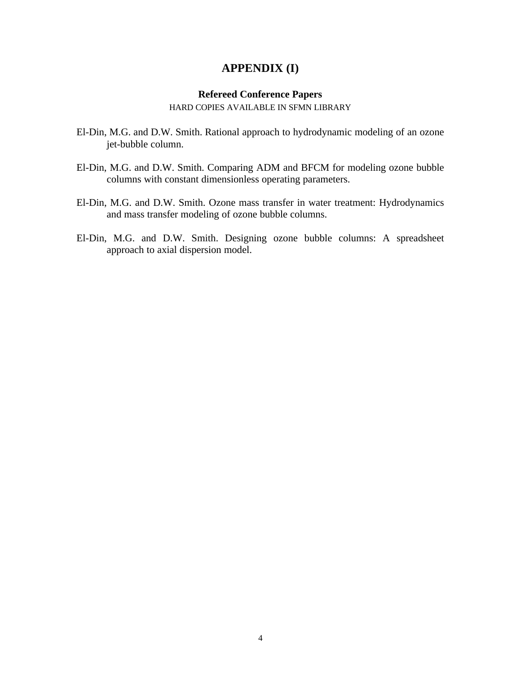# **APPENDIX (I)**

## **Refereed Conference Papers**

HARD COPIES AVAILABLE IN SFMN LIBRARY

- El-Din, M.G. and D.W. Smith. Rational approach to hydrodynamic modeling of an ozone jet-bubble column.
- El-Din, M.G. and D.W. Smith. Comparing ADM and BFCM for modeling ozone bubble columns with constant dimensionless operating parameters.
- El-Din, M.G. and D.W. Smith. Ozone mass transfer in water treatment: Hydrodynamics and mass transfer modeling of ozone bubble columns.
- El-Din, M.G. and D.W. Smith. Designing ozone bubble columns: A spreadsheet approach to axial dispersion model.